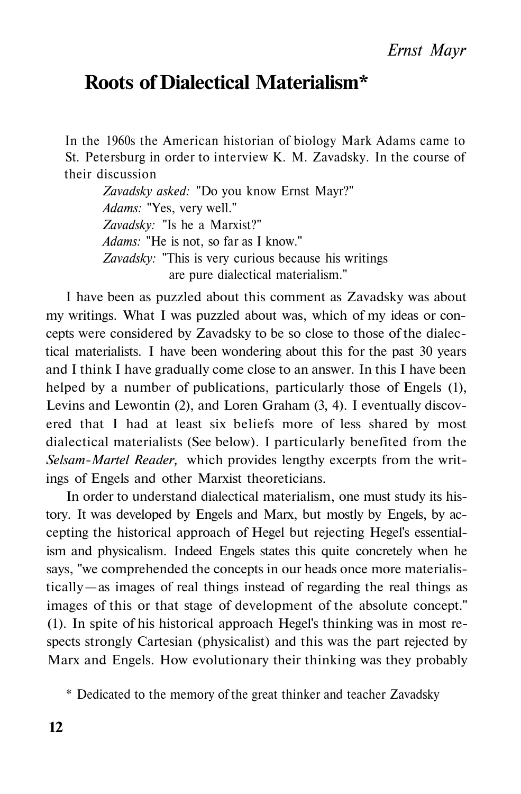## **Roots of Dialectical Materialism\***

In the 1960s the American historian of biology Mark Adams came to St. Petersburg in order to interview К. М. Zavadsky. In the course of their discussion

*Zavadsky asked:* "Do you know Ernst Mayr?" *Adams:* "Yes, very well." *Zavadsky:* "Is he a Marxist?" *Adams:* "He is not, so far as I know." *Zavadsky:* "This is very curious because his writings are pure dialectical materialism."

I have been as puzzled about this comment as Zavadsky was about my writings. What I was puzzled about was, which of my ideas or concepts were considered by Zavadsky to be so close to those of the dialectical materialists. I have been wondering about this for the past 30 years and I think I have gradually come close to an answer. In this I have been helped by a number of publications, particularly those of Engels (1), Levins and Lewontin (2), and Loren Graham (3, 4). I eventually discovered that I had at least six beliefs more of less shared by most dialectical materialists (See below). I particularly benefited from the *Selsam-Martel Reader,* which provides lengthy excerpts from the writings of Engels and other Marxist theoreticians.

In order to understand dialectical materialism, one must study its history. It was developed by Engels and Marx, but mostly by Engels, by accepting the historical approach of Hegel but rejecting Hegel's essentialism and physicalism. Indeed Engels states this quite concretely when he says, "we comprehended the concepts in our heads once more materialistically — as images of real things instead of regarding the real things as images of this or that stage of development of the absolute concept." (1). In spite of his historical approach Hegel's thinking was in most respects strongly Cartesian (physicalist) and this was the part rejected by Marx and Engels. How evolutionary their thinking was they probably

\* Dedicated to the memory of the great thinker and teacher Zavadsky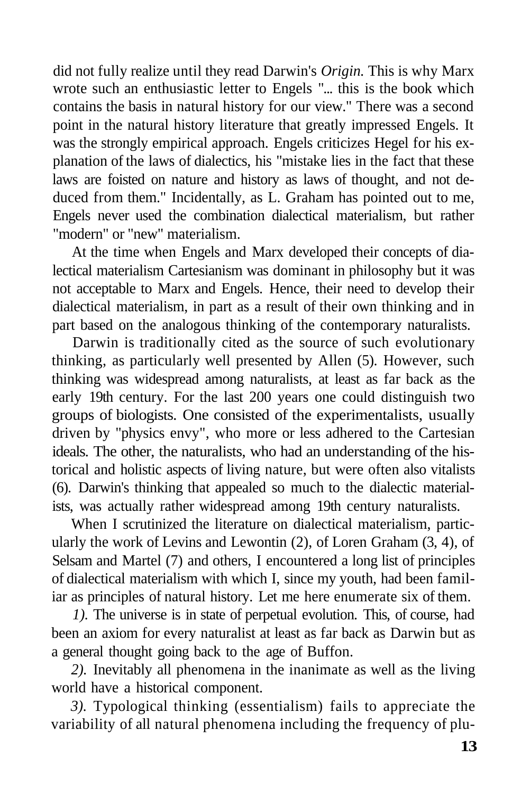did not fully realize until they read Darwin's *Origin.* This is why Marx wrote such an enthusiastic letter to Engels "... this is the book which contains the basis in natural history for our view." There was a second point in the natural history literature that greatly impressed Engels. It was the strongly empirical approach. Engels criticizes Hegel for his explanation of the laws of dialectics, his "mistake lies in the fact that these laws are foisted on nature and history as laws of thought, and not deduced from them." Incidentally, as L. Graham has pointed out to me, Engels never used the combination dialectical materialism, but rather "modern" or "new" materialism.

At the time when Engels and Marx developed their concepts of dialectical materialism Cartesianism was dominant in philosophy but it was not acceptable to Marx and Engels. Hence, their need to develop their dialectical materialism, in part as a result of their own thinking and in part based on the analogous thinking of the contemporary naturalists.

Darwin is traditionally cited as the source of such evolutionary thinking, as particularly well presented by Allen (5). However, such thinking was widespread among naturalists, at least as far back as the early 19th century. For the last 200 years one could distinguish two groups of biologists. One consisted of the experimentalists, usually driven by "physics envy", who more or less adhered to the Cartesian ideals. The other, the naturalists, who had an understanding of the historical and holistic aspects of living nature, but were often also vitalists (6). Darwin's thinking that appealed so much to the dialectic materialists, was actually rather widespread among 19th century naturalists.

When I scrutinized the literature on dialectical materialism, particularly the work of Levins and Lewontin (2), of Loren Graham (3, 4), of Selsam and Martel (7) and others, I encountered a long list of principles of dialectical materialism with which I, since my youth, had been familiar as principles of natural history. Let me here enumerate six of them.

*1).* The universe is in state of perpetual evolution. This, of course, had been an axiom for every naturalist at least as far back as Darwin but as a general thought going back to the age of Buffon.

*2).* Inevitably all phenomena in the inanimate as well as the living world have a historical component.

*3).* Typological thinking (essentialism) fails to appreciate the variability of all natural phenomena including the frequency of plu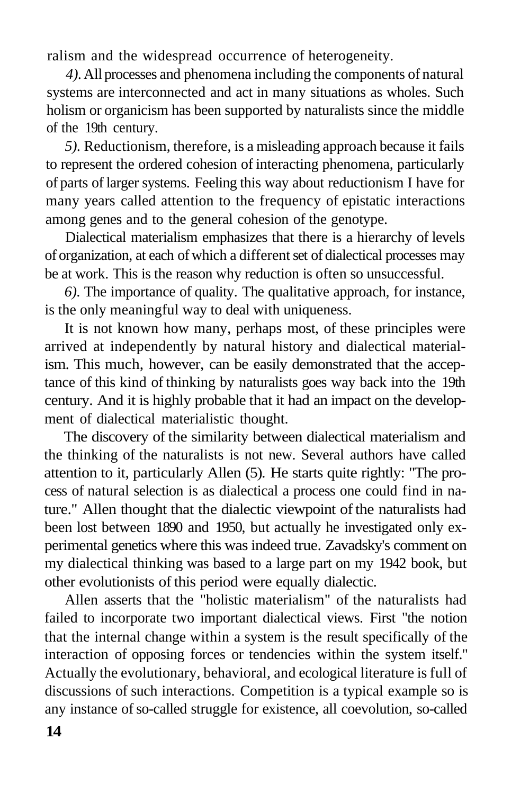ralism and the widespread occurrence of heterogeneity.

*4).* All processes and phenomena including the components of natural systems are interconnected and act in many situations as wholes. Such holism or organicism has been supported by naturalists since the middle of the 19th century.

*5).* Reductionism, therefore, is a misleading approach because it fails to represent the ordered cohesion of interacting phenomena, particularly of parts of larger systems. Feeling this way about reductionism I have for many years called attention to the frequency of epistatic interactions among genes and to the general cohesion of the genotype.

Dialectical materialism emphasizes that there is a hierarchy of levels of organization, at each of which a different set of dialectical processes may be at work. This is the reason why reduction is often so unsuccessful.

*6).* The importance of quality. The qualitative approach, for instance, is the only meaningful way to deal with uniqueness.

It is not known how many, perhaps most, of these principles were arrived at independently by natural history and dialectical materialism. This much, however, can be easily demonstrated that the acceptance of this kind of thinking by naturalists goes way back into the 19th century. And it is highly probable that it had an impact on the development of dialectical materialistic thought.

The discovery of the similarity between dialectical materialism and the thinking of the naturalists is not new. Several authors have called attention to it, particularly Allen (5). He starts quite rightly: "The process of natural selection is as dialectical a process one could find in nature." Allen thought that the dialectic viewpoint of the naturalists had been lost between 1890 and 1950, but actually he investigated only experimental genetics where this was indeed true. Zavadsky's comment on my dialectical thinking was based to a large part on my 1942 book, but other evolutionists of this period were equally dialectic.

Allen asserts that the "holistic materialism" of the naturalists had failed to incorporate two important dialectical views. First "the notion that the internal change within a system is the result specifically of the interaction of opposing forces or tendencies within the system itself." Actually the evolutionary, behavioral, and ecological literature is full of discussions of such interactions. Competition is a typical example so is any instance of so-called struggle for existence, all coevolution, so-called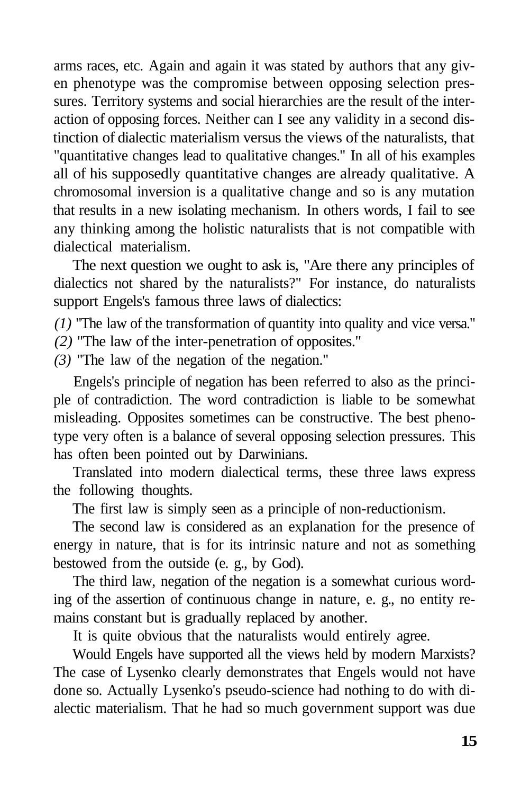arms races, etc. Again and again it was stated by authors that any given phenotype was the compromise between opposing selection pressures. Territory systems and social hierarchies are the result of the interaction of opposing forces. Neither can I see any validity in a second distinction of dialectic materialism versus the views of the naturalists, that "quantitative changes lead to qualitative changes." In all of his examples all of his supposedly quantitative changes are already qualitative. A chromosomal inversion is a qualitative change and so is any mutation that results in a new isolating mechanism. In others words, I fail to see any thinking among the holistic naturalists that is not compatible with dialectical materialism.

The next question we ought to ask is, "Are there any principles of dialectics not shared by the naturalists?" For instance, do naturalists support Engels's famous three laws of dialectics:

*(1)* "The law of the transformation of quantity into quality and vice versa."

*(2)* "The law of the inter-penetration of opposites."

*(3)* "The law of the negation of the negation."

Engels's principle of negation has been referred to also as the principle of contradiction. The word contradiction is liable to be somewhat misleading. Opposites sometimes can be constructive. The best phenotype very often is a balance of several opposing selection pressures. This has often been pointed out by Darwinians.

Translated into modern dialectical terms, these three laws express the following thoughts.

The first law is simply seen as a principle of non-reductionism.

The second law is considered as an explanation for the presence of energy in nature, that is for its intrinsic nature and not as something bestowed from the outside (e. g., by God).

The third law, negation of the negation is a somewhat curious wording of the assertion of continuous change in nature, e. g., no entity remains constant but is gradually replaced by another.

It is quite obvious that the naturalists would entirely agree.

Would Engels have supported all the views held by modern Marxists? The case of Lysenko clearly demonstrates that Engels would not have done so. Actually Lysenko's pseudo-science had nothing to do with dialectic materialism. That he had so much government support was due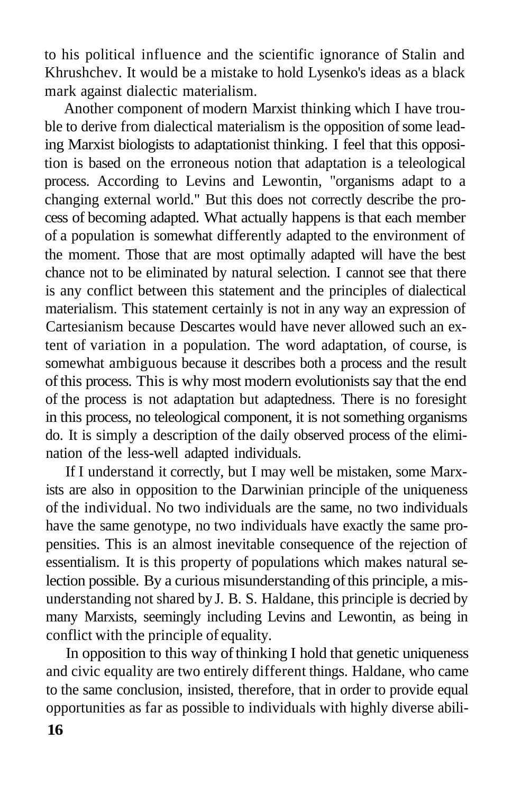to his political influence and the scientific ignorance of Stalin and Khrushchev. It would be a mistake to hold Lysenko's ideas as a black mark against dialectic materialism.

Another component of modern Marxist thinking which I have trouble to derive from dialectical materialism is the opposition of some leading Marxist biologists to adaptationist thinking. I feel that this opposition is based on the erroneous notion that adaptation is a teleological process. According to Levins and Lewontin, "organisms adapt to a changing external world." But this does not correctly describe the process of becoming adapted. What actually happens is that each member of a population is somewhat differently adapted to the environment of the moment. Those that are most optimally adapted will have the best chance not to be eliminated by natural selection. I cannot see that there is any conflict between this statement and the principles of dialectical materialism. This statement certainly is not in any way an expression of Cartesianism because Descartes would have never allowed such an extent of variation in a population. The word adaptation, of course, is somewhat ambiguous because it describes both a process and the result of this process. This is why most modern evolutionists say that the end of the process is not adaptation but adaptedness. There is no foresight in this process, no teleological component, it is not something organisms do. It is simply a description of the daily observed process of the elimination of the less-well adapted individuals.

If I understand it correctly, but I may well be mistaken, some Marxists are also in opposition to the Darwinian principle of the uniqueness of the individual. No two individuals are the same, no two individuals have the same genotype, no two individuals have exactly the same propensities. This is an almost inevitable consequence of the rejection of essentialism. It is this property of populations which makes natural selection possible. By a curious misunderstanding of this principle, a misunderstanding not shared by J. B. S. Haldane, this principle is decried by many Marxists, seemingly including Levins and Lewontin, as being in conflict with the principle of equality.

In opposition to this way of thinking I hold that genetic uniqueness and civic equality are two entirely different things. Haldane, who came to the same conclusion, insisted, therefore, that in order to provide equal opportunities as far as possible to individuals with highly diverse abili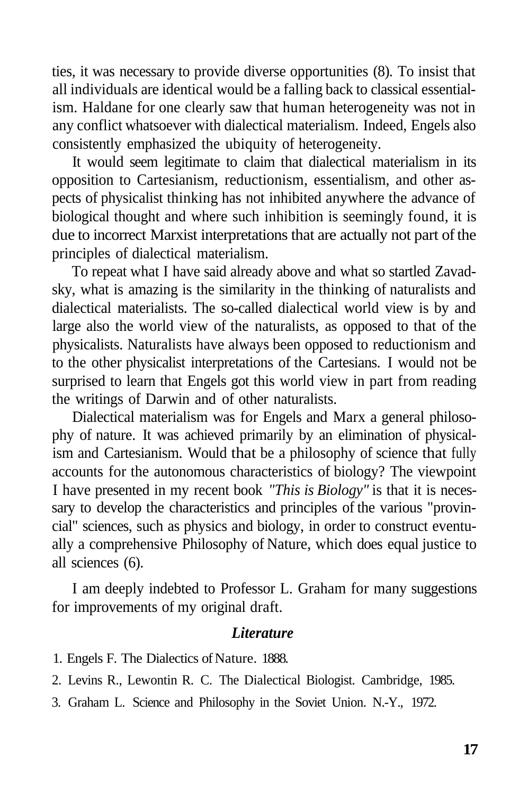ties, it was necessary to provide diverse opportunities (8). To insist that all individuals are identical would be a falling back to classical essentialism. Haldane for one clearly saw that human heterogeneity was not in any conflict whatsoever with dialectical materialism. Indeed, Engels also consistently emphasized the ubiquity of heterogeneity.

It would seem legitimate to claim that dialectical materialism in its opposition to Cartesianism, reductionism, essentialism, and other aspects of physicalist thinking has not inhibited anywhere the advance of biological thought and where such inhibition is seemingly found, it is due to incorrect Marxist interpretations that are actually not part of the principles of dialectical materialism.

To repeat what I have said already above and what so startled Zavadsky, what is amazing is the similarity in the thinking of naturalists and dialectical materialists. The so-called dialectical world view is by and large also the world view of the naturalists, as opposed to that of the physicalists. Naturalists have always been opposed to reductionism and to the other physicalist interpretations of the Cartesians. I would not be surprised to learn that Engels got this world view in part from reading the writings of Darwin and of other naturalists.

Dialectical materialism was for Engels and Marx a general philosophy of nature. It was achieved primarily by an elimination of physicalism and Cartesianism. Would that be a philosophy of science that fully accounts for the autonomous characteristics of biology? The viewpoint I have presented in my recent book *"This is Biology"* is that it is necessary to develop the characteristics and principles of the various "provincial" sciences, such as physics and biology, in order to construct eventually a comprehensive Philosophy of Nature, which does equal justice to all sciences (6).

I am deeply indebted to Professor L. Graham for many suggestions for improvements of my original draft.

## *Literature*

- 1. Engels F. The Dialectics of Nature. 1888.
- 2. Levins R., Lewontin R. C. The Dialectical Biologist. Cambridge, 1985.
- 3. Graham L. Science and Philosophy in the Soviet Union. N.-Y., 1972.